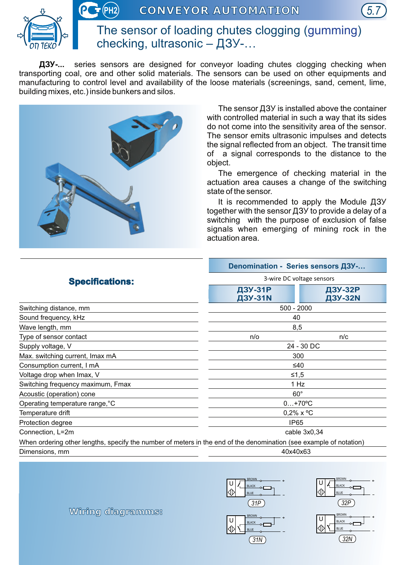



## The sensor of loading chutes clogging (gumming) checking, ultrasonic – ДЗУ-…

**ДЗУ-...** series sensors are designed for conveyor loading chutes clogging checking when transporting coal, ore and other solid materials. The sensors can be used on other equipments and manufacturing to control level and availability of the loose materials (screenings, sand, cement, lime, building mixes, etc.) inside bunkers and silos.



**РН2**

The sensor ДЗУ is installed above the container with controlled material in such a way that its sides do not come into the sensitivity area of the sensor. The sensor emits ultrasonic impulses and detects the signal reflected from an object. The transit time of a signal corresponds to the distance to the object.

The emergence of checking material in the actuation area causes a change of the switching state of the sensor.

It is recommended to apply the Module ДЗУ together with the sensor ДЗУ to provide a delay of a switching with the purpose of exclusion of false signals when emerging of mining rock in the actuation area.

**Denomination - Series sensors ДЗУ-…**

| <b>Specifications:</b>                                                                                             | 3-wire DC voltage sensors |                           |  |
|--------------------------------------------------------------------------------------------------------------------|---------------------------|---------------------------|--|
|                                                                                                                    | ДЗУ-31Р<br><b>ДЗУ-31N</b> | ДЗУ-32Р<br><b>ДЗУ-32N</b> |  |
| Switching distance, mm                                                                                             | $500 - 2000$              |                           |  |
| Sound frequency, kHz                                                                                               | 40                        |                           |  |
| Wave length, mm                                                                                                    |                           | 8,5                       |  |
| Type of sensor contact                                                                                             | $n$ o                     | n/c                       |  |
| Supply voltage, V                                                                                                  | 24 - 30 DC                |                           |  |
| Max. switching current, Imax mA                                                                                    |                           | 300                       |  |
| Consumption current, I mA                                                                                          |                           | $\leq 40$                 |  |
| Voltage drop when Imax, V                                                                                          |                           | ≤1,5                      |  |
| Switching frequency maximum, Fmax                                                                                  |                           | 1 Hz                      |  |
| Acoustic (operation) cone                                                                                          |                           | $60^{\circ}$              |  |
| Operating temperature range, °C                                                                                    | $0+70$ <sup>o</sup> C     |                           |  |
| Temperature drift                                                                                                  | $0,2\% \times C$          |                           |  |
| Protection degree                                                                                                  | IP <sub>65</sub>          |                           |  |
| Connection, L=2m                                                                                                   | cable 3x0,34              |                           |  |
| When ordering other lengths, specify the number of meters in the end of the denomination (see example of notation) |                           |                           |  |
| Dimensions, mm                                                                                                     |                           | 40x40x63                  |  |





**Wiring diagramms:**